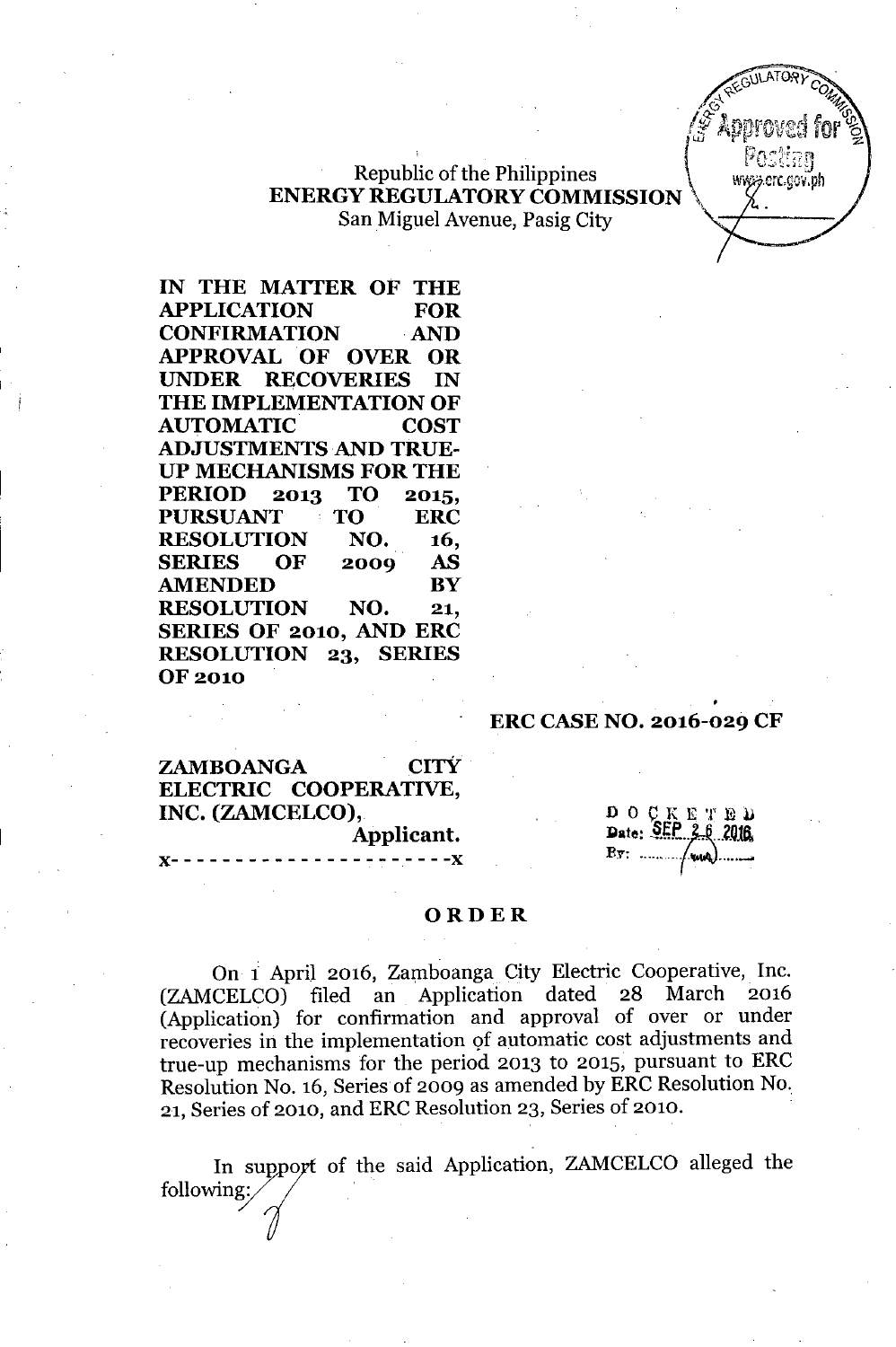www.erc.cov.ph

## **Republic of the Philippines ENERGY REGULATORY COMMISSION** San Miguel Avenue, Pasig City

IN THE MATTER OF THE APPLICATION FOR CONFIRMATION AND APPROVAL OF OVER OR UNDER RECOVERIES IN THE IMPLEMENTATION OF AUTOMATIC COST ADJUSTMENTS AND TRUE-UP MECHANISMS FOR THE PERIOD 2013 TO 2015, PURSUANT TO ERC RESOLUTION NO. 16, SERIES OF 2009 AS AMENDED BY RESOLUTION NO. 21, SERIES OF 2010, AND ERC RESOLUTION 23, SERIES OF 2010

## ERC CASENO. 2016-029 CF

ZAMBOANGA CITY ELECTRIC COOPERATIVE, INC. (ZAMCELCO), Applicant.

}(- - - - - - - - - - - - - - - - - - - - - -}(

 $D O C K E T E D$ Date: SEP 2.6 2016 

### ORDER

On i April 2016, Zamboanga City Electric Cooperative, Inc. (ZAMCELCO) filed an Application dated 28 March (Application) for confirmation and approval of over or under recoveries in the implementation of automatic cost adjustments and true-up mechanisms for the period 2013 to 2015, pursuant to ERC Resolution No. 16, Series of 2009 as amended by ERC Resolution No. 21, Series of 2010, and ERC Resolution 23, Series of 2010.

In support of the said Application, ZAMCELCO alleged the *i* In support of the following: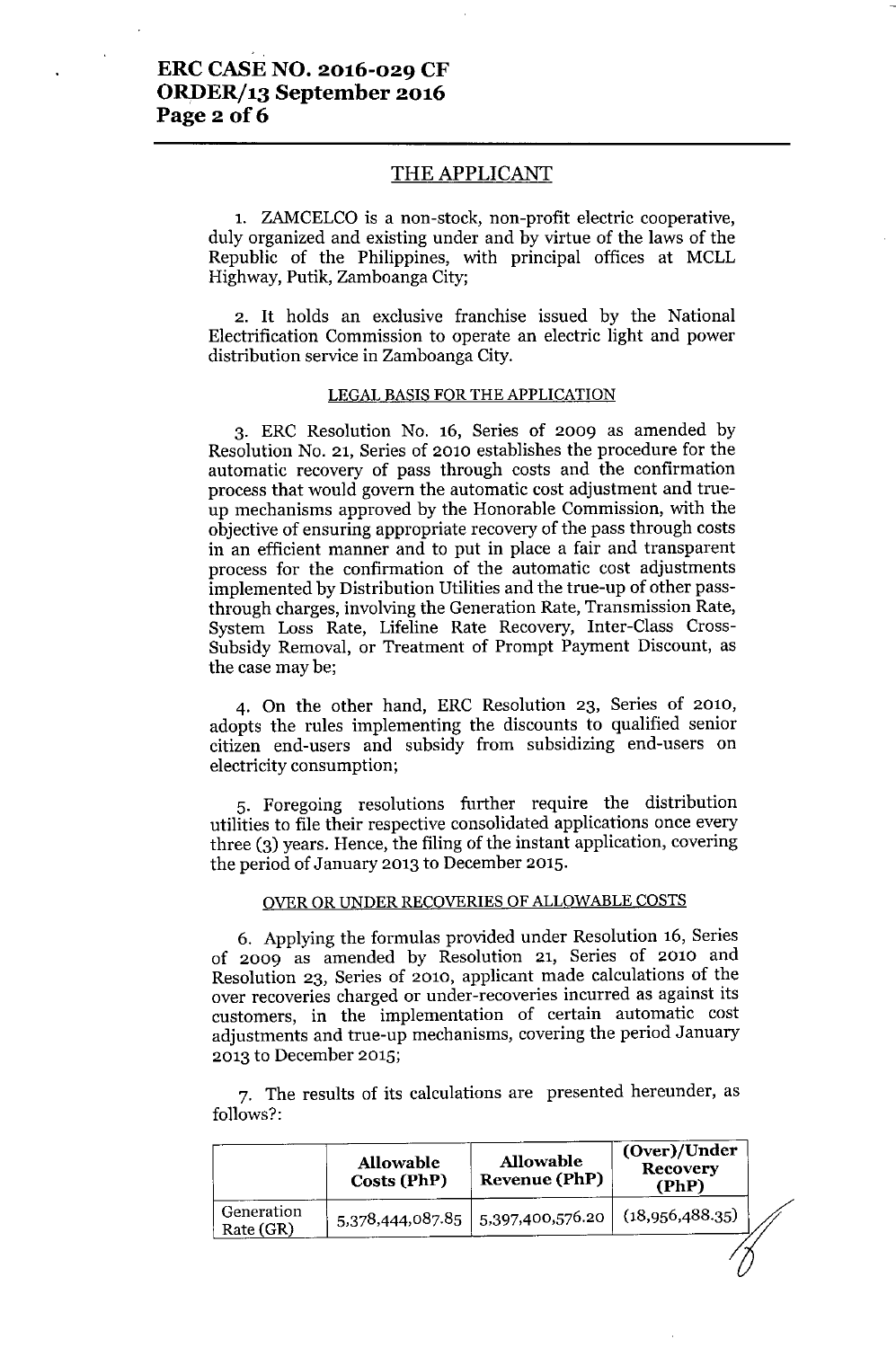### **ERC CASE NO. 2016-029 CF ORDER/13 September 2016 Page** 2 of 6

### THE APPLICANT

1. ZAMCELCO is a non-stock, non-profit electric cooperative, duly organized and existing under and by virtue of the laws of the Republic of the Philippines, with principal offices at MCLL Highway, Putik, Zamboanga City;

2. It holds an exclusive franchise issued by the National Electrification Commission to operate an electric light and power distribution service in Zamboanga City.

#### LEGAL BASIS FOR THE APPLICATION

3. ERC Resolution No. 16, Series of 2009 as amended by Resolution No. 21, Series of 2010 establishes the procedure for the automatic recovery of pass through costs and the confirmation process that would govern the automatic cost adjustment and trueup mechanisms approved by the Honorable Commission, with the objective of ensuring appropriate recovery of the pass through costs in an efficient manner and to put in place a fair and transparent process for the confirmation of the automatic cost adjustments implemented by Distribution Utilities and the true-up of other passthrough charges, involving the Generation Rate, Transmission Rate, System Loss Rate, Lifeline Rate Recovery, Inter-Class Cross-Subsidy Removal, or Treatment of Prompt Payment Discount, as the case may be;

4. On the other hand, ERC Resolution 23, Series of 2010, adopts the rules implementing the discounts to qualified senior citizen end-users and subsidy from subsidizing end-users on electricity consumption;

5. Foregoing resolutions further require the distribution utilities to file their respective consolidated applications once every three (3) years. Hence, the filing of the instant application, covering the period of January 2013 to December 2015.

#### OVER OR UNDER RECOVERIES OF ALLOWABLE COSTS

6. Applying the formulas provided under Resolution 16, Series of 2009 as amended by Resolution 21, Series of 2010 and Resolution 23, Series of 2010, applicant made calculations of the over recoveries charged or under-recoveries incurred as against its customers, in the implementation of certain automatic cost adjustments and true-up mechanisms, covering the period January 2013 to December 2015;

7. The results of its calculations are presented hereunder, as follows?:

|                         | <b>Allowable</b><br>Costs (PhP) | <b>Allowable</b><br><b>Revenue (PhP)</b> | (Over)/Under<br><b>Recovery</b><br>(PhP) |  |
|-------------------------|---------------------------------|------------------------------------------|------------------------------------------|--|
| Generation<br>Rate (GR) |                                 | 5,378,444,087.85   5,397,400,576.20      | (18,956,488.35)                          |  |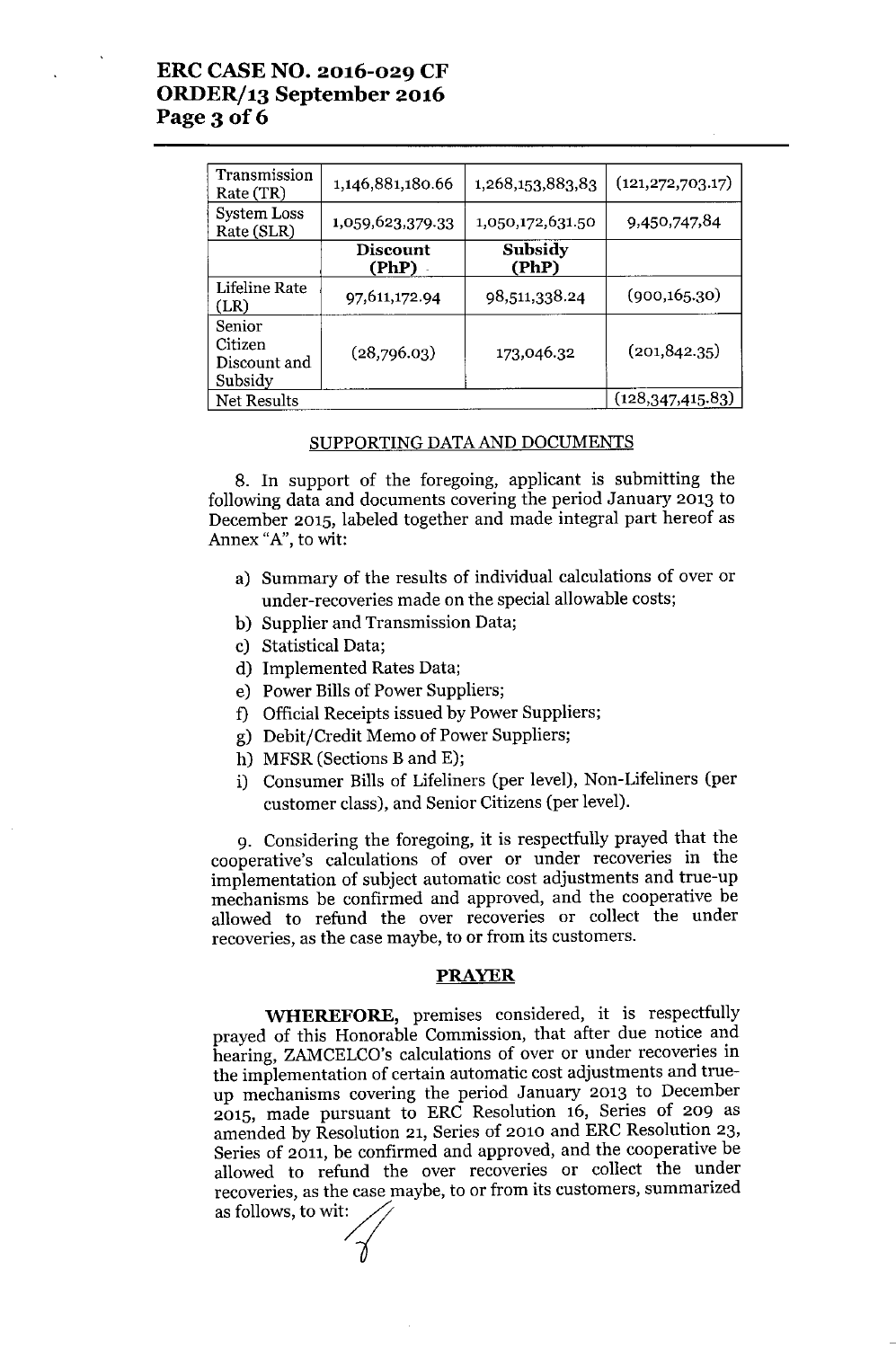# ERC CASE NO. 2016-029 CF ORDER/13 September 2016 Page 3 of 6

| Transmission<br>Rate (TR)                    | 1,146,881,180.66         | 1,268,153,883,83 | (121, 272, 703.17) |
|----------------------------------------------|--------------------------|------------------|--------------------|
| System Loss<br>Rate (SLR)                    | 1,059,623,379.33         | 1,050,172,631.50 | 9,450,747,84       |
|                                              | <b>Discount</b><br>(PhP) | Subsidy<br>(PhP) |                    |
| Lifeline Rate<br>(LR)                        | 97,611,172.94            | 98,511,338.24    | (900, 165.30)      |
| Senior<br>Citizen<br>Discount and<br>Subsidy | (28,796.03)              | 173,046.32       | (201, 842.35)      |
| Net Results                                  |                          |                  | (128, 347, 415.83) |

### SUPPORTING DATAAND DOCUMENTS

8. In support of the foregoing, applicant is submitting the following data and documents covering the period January 2013 to December 2015, labeled together and made integral part hereof as Annex "A", to wit:

- a) Summary of the results of individual calculations of over or under-recoveries made on the special allowable costs;
- b) Supplier and Transmission Data;
- c) Statistical Data;
- d) Implemented Rates Data;
- e) Power Bills of Power Suppliers;
- f) Official Receipts issued by Power Suppliers;
- g) Debit/Credit Memo of Power Suppliers;
- h) MFSR (Sections Band E);
- i) Consumer Bills of Lifeliners (per level), Non-Lifeliners (per customer class), and Senior Citizens (per level).

9. Considering the foregoing, it is respectfully prayed that the cooperative's calculations of over or under recoveries in the implementation of subject automatic cost adjustments and true-up mechanisms be confirmed and approved, and the cooperative be allowed to refund the over recoveries or collect the under recoveries, as the case maybe, to or from its customers.

#### PRAYER

WHEREFORE, premises considered, it is respectfully prayed of this Honorable Commission, that after due notice and hearing, ZAMCELCO's calculations of over or under recoveries in the implementation of certain automatic cost adjustments and trueup mechanisms covering the period January 2013 to December 2015, made pursuant to ERC Resolution 16, Series of 209 as amended by Resolution 21, Series of 2010 and ERC Resolution 23, Series of 2011, be confirmed and approved, and the cooperative be allowed to refund the over recoveries or collect the under recoveries, as the case maybe, to or from its customers, summarized as follows, to wit: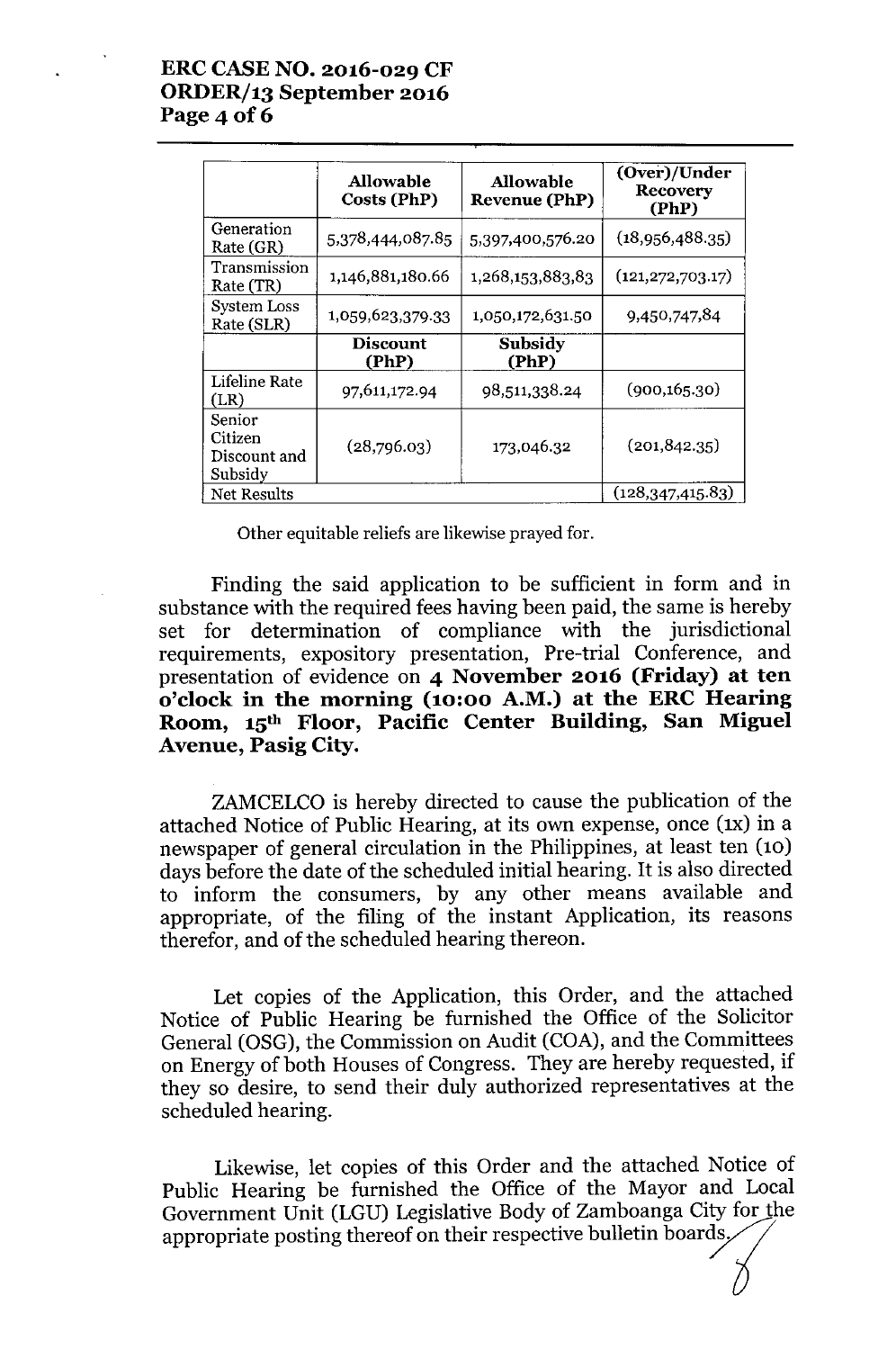# ERCCASENO. 2016-029 CF *ORDERj13* September 2016 Page 4 of 6

|                                              | <b>Allowable</b><br>Costs (PhP) | <b>Allowable</b><br><b>Revenue (PhP)</b> | (Over)/Under<br>Recovery<br>(PhP) |
|----------------------------------------------|---------------------------------|------------------------------------------|-----------------------------------|
| Generation<br>Rate (GR)                      | 5,378,444,087.85                | 5,397,400,576.20                         | (18,956,488,35)                   |
| Transmission<br>Rate (TR)                    | 1,146,881,180.66                | 1,268,153,883,83                         | (121, 272, 703.17)                |
| <b>System Loss</b><br>Rate (SLR)             | 1,059,623,379.33                | 1,050,172,631.50                         | 9,450,747,84                      |
|                                              | <b>Discount</b><br>(PhP)        | Subsidy<br>(PhP)                         |                                   |
| Lifeline Rate<br>(LR)                        | 97,611,172.94                   | 98,511,338.24                            | (900, 165.30)                     |
| Senior<br>Citizen<br>Discount and<br>Subsidy | (28,796.03)                     | 173,046.32                               | (201, 842.35)                     |
| <b>Net Results</b>                           |                                 |                                          | (128, 347, 415.83)                |

Other equitable reliefs are likewise prayed for.

Finding the said application to be sufficient in form and in substance with the required fees having been paid, the same is hereby set for determination of compliance with the jurisdictional requirements, expository presentation, Pre-trial Conference, and presentation of evidence on 4 November 2016 (Friday) at ten o'clock in the morning (10:00 A.M.) at the ERC Hearing Room, 15th Floor, Pacific Center Building, San Miguel Avenue, Pasig City.

ZAMCELCO is hereby directed to cause the publication of the attached Notice of Public Hearing, at its own expense, once (1x) in a newspaper of general circulation in the Philippines, at least ten (10) days before the date of the scheduled initial hearing. It is also directed to inform the consumers, by any other means available and appropriate, of the filing of the instant Application, its reasons therefor, and of the scheduled hearing thereon.

Let copies of the Application, this Order, and the attached Notice of Public Hearing be furnished the Office of the Solicitor General (OSG), the Commission on Audit (COA), and the Committees on Energy of both Houses of Congress. They are hereby requested, if they so desire, to send their duly authorized representatives at the scheduled hearing.

Likewise, let copies of this Order and the attached Notice of Public Hearing be furnished the Office of the Mayor and Local Government Unit (LGU) Legislative Body of Zamboanga City for the appropriate posting thereof on their respective bulletin boards,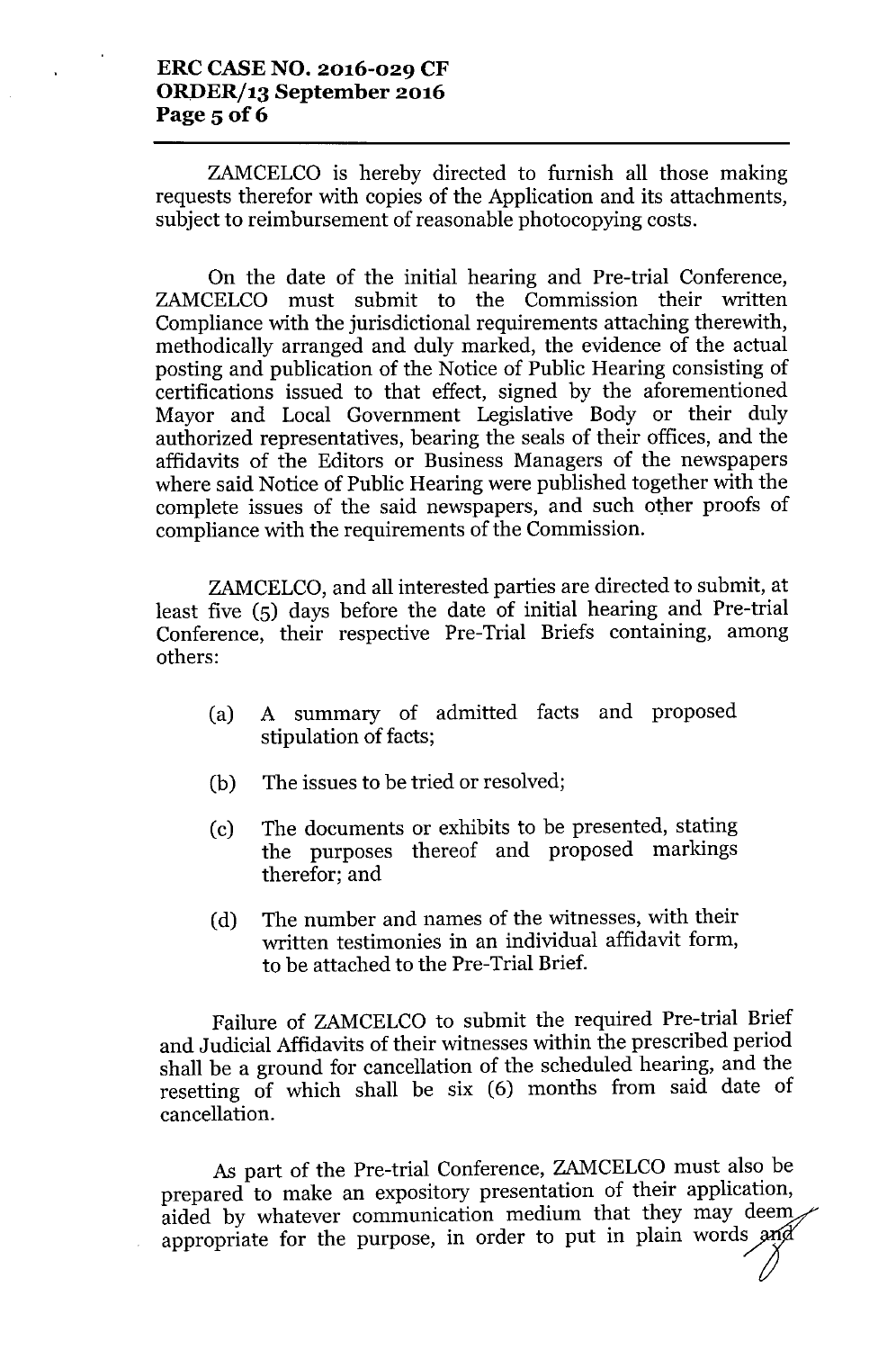### **ERC CASE NO. 2016-029 CF** *ORDERj13* **September 2016** Page 5 of 6

ZAMCELCO is hereby directed to furnish all those making requests therefor with copies of the Application and its attachments, subject to reimbursement of reasonable photocopying costs.

On the date of the initial hearing and Pre-trial Conference, ZAMCELCO must submit to the Commission their written Compliance with the jurisdictional requirements attaching therewith, methodically arranged and duly marked, the evidence of the actual posting and publication of the Notice of Public Hearing consisting of certifications issued to that effect, signed by the aforementioned Mayor and Local Government Legislative Body or their duly authorized representatives, bearing the seals of their offices, and the affidavits of the Editors or Business Managers of the newspapers where said Notice of Public Hearing were published together with the complete issues of the said newspapers, and such other proofs of compliance with the requirements of the Commission.

ZAMCELCO, and all interested parties are directed to submit, at least five (5) days before the date of initial hearing and Pre-trial Conference, their respective Pre-Trial Briefs containing, among others:

- (a) A summary of admitted facts and proposed stipulation of facts;
- (b) The issues to be tried or resolved;
- (c) The documents or exhibits to be presented, stating the purposes thereof and proposed markings therefor; and
- (d) The number and names of the witnesses, with their written testimonies in an individual affidavit form, to be attached to the Pre-Trial Brief.

Failure of ZAMCELCO to submit the required Pre-trial Brief and Judicial Affidavits of their witnesses within the prescribed period shall be a ground for cancellation of the scheduled hearing, and the resetting of which shall be six (6) months from said date of cancellation.

As part of the Pre-trial Conference, ZAMCELCO must also be prepared to make an expository presentation of their application, aided by whatever communication medium that they may deem appropriate for the purpose, in order to put in plain words and